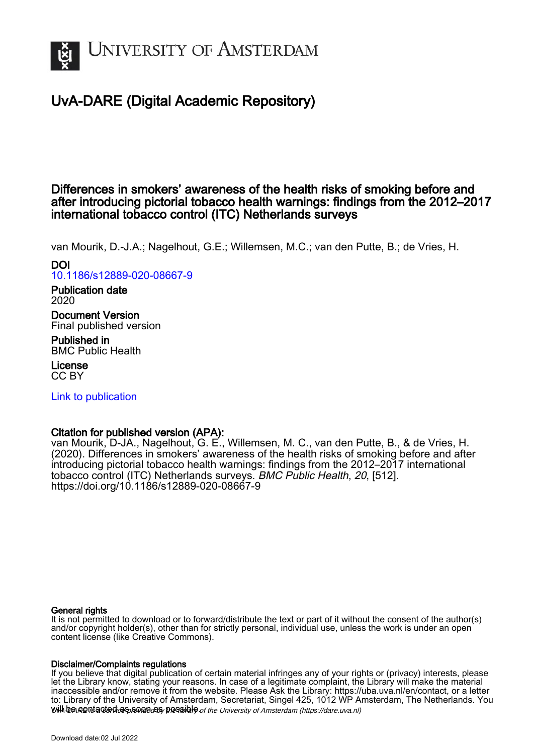

# UvA-DARE (Digital Academic Repository)

## Differences in smokers' awareness of the health risks of smoking before and after introducing pictorial tobacco health warnings: findings from the 2012–2017 international tobacco control (ITC) Netherlands surveys

van Mourik, D.-J.A.; Nagelhout, G.E.; Willemsen, M.C.; van den Putte, B.; de Vries, H.

DOI [10.1186/s12889-020-08667-9](https://doi.org/10.1186/s12889-020-08667-9)

Publication date 2020

Document Version Final published version

Published in BMC Public Health

License CC BY

[Link to publication](https://dare.uva.nl/personal/pure/en/publications/differences-in-smokers-awareness-of-the-health-risks-of-smoking-before-and-after-introducing-pictorial-tobacco-health-warnings-findings-from-the-20122017-international-tobacco-control-itc-netherlands-surveys(4a45ac49-dab3-41a7-8e2e-9f183617ce96).html)

## Citation for published version (APA):

van Mourik, D-JA., Nagelhout, G. E., Willemsen, M. C., van den Putte, B., & de Vries, H. (2020). Differences in smokers' awareness of the health risks of smoking before and after introducing pictorial tobacco health warnings: findings from the 2012–2017 international tobacco control (ITC) Netherlands surveys. BMC Public Health, 20, [512]. <https://doi.org/10.1186/s12889-020-08667-9>

## General rights

It is not permitted to download or to forward/distribute the text or part of it without the consent of the author(s) and/or copyright holder(s), other than for strictly personal, individual use, unless the work is under an open content license (like Creative Commons).

## Disclaimer/Complaints regulations

will be contacted as sontacty pessible of the University of Amsterdam (https://dare.uva.nl) If you believe that digital publication of certain material infringes any of your rights or (privacy) interests, please let the Library know, stating your reasons. In case of a legitimate complaint, the Library will make the material inaccessible and/or remove it from the website. Please Ask the Library: https://uba.uva.nl/en/contact, or a letter to: Library of the University of Amsterdam, Secretariat, Singel 425, 1012 WP Amsterdam, The Netherlands. You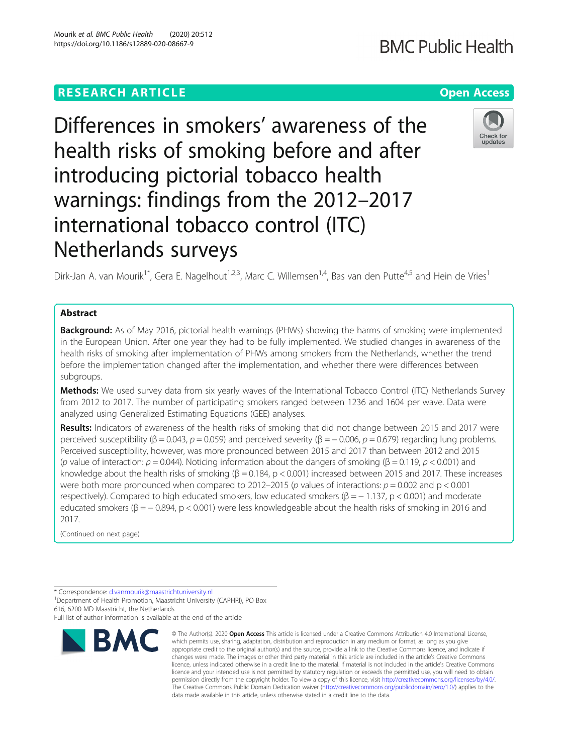## **RESEARCH ARTICLE Example 2014 12:30 The Contract of Contract ACCESS**

Differences in smokers' awareness of the health risks of smoking before and after introducing pictorial tobacco health warnings: findings from the 2012–2017 international tobacco control (ITC) Netherlands surveys

Dirk-Jan A. van Mourik<sup>1\*</sup>, Gera E. Nagelhout<sup>1,2,3</sup>, Marc C. Willemsen<sup>1,4</sup>, Bas van den Putte<sup>4,5</sup> and Hein de Vries<sup>1</sup>

## Abstract

**Background:** As of May 2016, pictorial health warnings (PHWs) showing the harms of smoking were implemented in the European Union. After one year they had to be fully implemented. We studied changes in awareness of the health risks of smoking after implementation of PHWs among smokers from the Netherlands, whether the trend before the implementation changed after the implementation, and whether there were differences between subgroups.

Methods: We used survey data from six yearly waves of the International Tobacco Control (ITC) Netherlands Survey from 2012 to 2017. The number of participating smokers ranged between 1236 and 1604 per wave. Data were analyzed using Generalized Estimating Equations (GEE) analyses.

Results: Indicators of awareness of the health risks of smoking that did not change between 2015 and 2017 were perceived susceptibility (β = 0.043,  $p = 0.059$ ) and perceived severity (β = -0.006,  $p = 0.679$ ) regarding lung problems. Perceived susceptibility, however, was more pronounced between 2015 and 2017 than between 2012 and 2015 (p value of interaction:  $p = 0.044$ ). Noticing information about the dangers of smoking ( $\beta = 0.119$ ,  $p < 0.001$ ) and knowledge about the health risks of smoking ( $\beta$  = 0.184, p < 0.001) increased between 2015 and 2017. These increases were both more pronounced when compared to 2012–2015 (p values of interactions:  $p = 0.002$  and  $p < 0.001$ respectively). Compared to high educated smokers, low educated smokers ( $\beta = -1.137$ , p < 0.001) and moderate educated smokers ( $\beta = -0.894$ , p < 0.001) were less knowledgeable about the health risks of smoking in 2016 and 2017.

(Continued on next page)

<sup>1</sup> Department of Health Promotion, Maastricht University (CAPHRI), PO Box 616, 6200 MD Maastricht, the Netherlands



<sup>\*</sup> Correspondence: [d.vanmourik@maastrichtuniversity.nl](mailto:d.vanmourik@maastrichtuniversity.nl) <sup>1</sup>

Full list of author information is available at the end of the article

<sup>©</sup> The Author(s), 2020 **Open Access** This article is licensed under a Creative Commons Attribution 4.0 International License, which permits use, sharing, adaptation, distribution and reproduction in any medium or format, as long as you give appropriate credit to the original author(s) and the source, provide a link to the Creative Commons licence, and indicate if changes were made. The images or other third party material in this article are included in the article's Creative Commons licence, unless indicated otherwise in a credit line to the material. If material is not included in the article's Creative Commons licence and your intended use is not permitted by statutory regulation or exceeds the permitted use, you will need to obtain permission directly from the copyright holder. To view a copy of this licence, visit [http://creativecommons.org/licenses/by/4.0/.](http://creativecommons.org/licenses/by/4.0/) The Creative Commons Public Domain Dedication waiver [\(http://creativecommons.org/publicdomain/zero/1.0/](http://creativecommons.org/publicdomain/zero/1.0/)) applies to the data made available in this article, unless otherwise stated in a credit line to the data.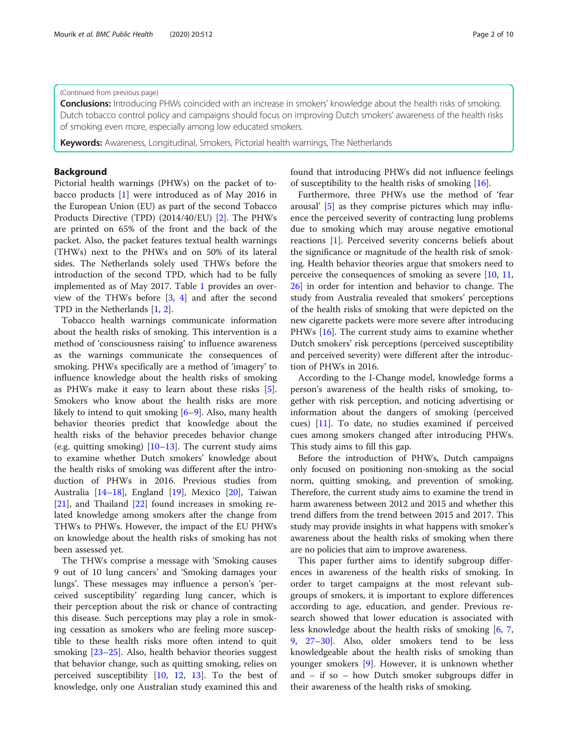### (Continued from previous page)

**Conclusions:** Introducing PHWs coincided with an increase in smokers' knowledge about the health risks of smoking. Dutch tobacco control policy and campaigns should focus on improving Dutch smokers' awareness of the health risks of smoking even more, especially among low educated smokers.

**Keywords:** Awareness, Longitudinal, Smokers, Pictorial health warnings, The Netherlands

## Background

Pictorial health warnings (PHWs) on the packet of tobacco products [[1](#page-9-0)] were introduced as of May 2016 in the European Union (EU) as part of the second Tobacco Products Directive (TPD) (2014/40/EU) [[2](#page-9-0)]. The PHWs are printed on 65% of the front and the back of the packet. Also, the packet features textual health warnings (THWs) next to the PHWs and on 50% of its lateral sides. The Netherlands solely used THWs before the introduction of the second TPD, which had to be fully implemented as of May 2017. Table [1](#page-3-0) provides an overview of the THWs before [[3](#page-9-0), [4](#page-9-0)] and after the second TPD in the Netherlands [[1](#page-9-0), [2](#page-9-0)].

Tobacco health warnings communicate information about the health risks of smoking. This intervention is a method of 'consciousness raising' to influence awareness as the warnings communicate the consequences of smoking. PHWs specifically are a method of 'imagery' to influence knowledge about the health risks of smoking as PHWs make it easy to learn about these risks [\[5](#page-9-0)]. Smokers who know about the health risks are more likely to intend to quit smoking [[6](#page-9-0)–[9](#page-9-0)]. Also, many health behavior theories predict that knowledge about the health risks of the behavior precedes behavior change (e.g. quitting smoking)  $[10-13]$  $[10-13]$  $[10-13]$  $[10-13]$  $[10-13]$ . The current study aims to examine whether Dutch smokers' knowledge about the health risks of smoking was different after the introduction of PHWs in 2016. Previous studies from Australia [\[14](#page-9-0)–[18\]](#page-9-0), England [\[19](#page-9-0)], Mexico [[20\]](#page-9-0), Taiwan [[21\]](#page-9-0), and Thailand [[22\]](#page-9-0) found increases in smoking related knowledge among smokers after the change from THWs to PHWs. However, the impact of the EU PHWs on knowledge about the health risks of smoking has not been assessed yet.

The THWs comprise a message with 'Smoking causes 9 out of 10 lung cancers' and 'Smoking damages your lungs'. These messages may influence a person's 'perceived susceptibility' regarding lung cancer, which is their perception about the risk or chance of contracting this disease. Such perceptions may play a role in smoking cessation as smokers who are feeling more susceptible to these health risks more often intend to quit smoking [\[23](#page-9-0)–[25\]](#page-9-0). Also, health behavior theories suggest that behavior change, such as quitting smoking, relies on perceived susceptibility [\[10](#page-9-0), [12](#page-9-0), [13\]](#page-9-0). To the best of knowledge, only one Australian study examined this and found that introducing PHWs did not influence feelings of susceptibility to the health risks of smoking [\[16\]](#page-9-0).

Furthermore, three PHWs use the method of 'fear arousal' [\[5](#page-9-0)] as they comprise pictures which may influence the perceived severity of contracting lung problems due to smoking which may arouse negative emotional reactions [[1](#page-9-0)]. Perceived severity concerns beliefs about the significance or magnitude of the health risk of smoking. Health behavior theories argue that smokers need to perceive the consequences of smoking as severe [\[10,](#page-9-0) [11](#page-9-0), [26\]](#page-9-0) in order for intention and behavior to change. The study from Australia revealed that smokers' perceptions of the health risks of smoking that were depicted on the new cigarette packets were more severe after introducing PHWs [[16\]](#page-9-0). The current study aims to examine whether Dutch smokers' risk perceptions (perceived susceptibility and perceived severity) were different after the introduction of PHWs in 2016.

According to the I-Change model, knowledge forms a person's awareness of the health risks of smoking, together with risk perception, and noticing advertising or information about the dangers of smoking (perceived cues) [\[11\]](#page-9-0). To date, no studies examined if perceived cues among smokers changed after introducing PHWs. This study aims to fill this gap.

Before the introduction of PHWs, Dutch campaigns only focused on positioning non-smoking as the social norm, quitting smoking, and prevention of smoking. Therefore, the current study aims to examine the trend in harm awareness between 2012 and 2015 and whether this trend differs from the trend between 2015 and 2017. This study may provide insights in what happens with smoker's awareness about the health risks of smoking when there are no policies that aim to improve awareness.

This paper further aims to identify subgroup differences in awareness of the health risks of smoking. In order to target campaigns at the most relevant subgroups of smokers, it is important to explore differences according to age, education, and gender. Previous research showed that lower education is associated with less knowledge about the health risks of smoking [\[6](#page-9-0), [7](#page-9-0), [9,](#page-9-0) [27](#page-9-0)–[30](#page-9-0)]. Also, older smokers tend to be less knowledgeable about the health risks of smoking than younger smokers [[9\]](#page-9-0). However, it is unknown whether and – if so – how Dutch smoker subgroups differ in their awareness of the health risks of smoking.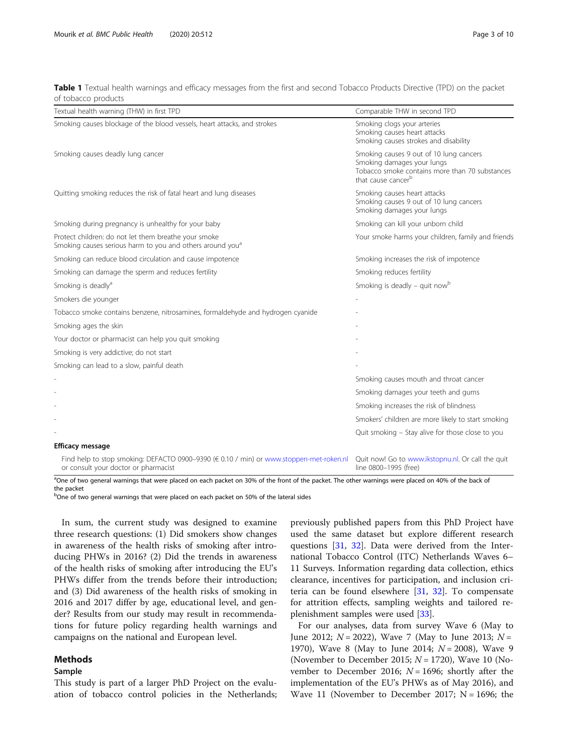<span id="page-3-0"></span>Table 1 Textual health warnings and efficacy messages from the first and second Tobacco Products Directive (TPD) on the packet of tobacco products

| Textual health warning (THW) in first TPD                                                                                       | Comparable THW in second TPD                                                                                                                              |
|---------------------------------------------------------------------------------------------------------------------------------|-----------------------------------------------------------------------------------------------------------------------------------------------------------|
| Smoking causes blockage of the blood vessels, heart attacks, and strokes                                                        | Smoking clogs your arteries<br>Smoking causes heart attacks<br>Smoking causes strokes and disability                                                      |
| Smoking causes deadly lung cancer                                                                                               | Smoking causes 9 out of 10 lung cancers<br>Smoking damages your lungs<br>Tobacco smoke contains more than 70 substances<br>that cause cancer <sup>b</sup> |
| Quitting smoking reduces the risk of fatal heart and lung diseases                                                              | Smoking causes heart attacks<br>Smoking causes 9 out of 10 lung cancers<br>Smoking damages your lungs                                                     |
| Smoking during pregnancy is unhealthy for your baby                                                                             | Smoking can kill your unborn child                                                                                                                        |
| Protect children: do not let them breathe your smoke<br>Smoking causes serious harm to you and others around you <sup>a</sup>   | Your smoke harms your children, family and friends                                                                                                        |
| Smoking can reduce blood circulation and cause impotence                                                                        | Smoking increases the risk of impotence                                                                                                                   |
| Smoking can damage the sperm and reduces fertility                                                                              | Smoking reduces fertility                                                                                                                                 |
| Smoking is deadly <sup>a</sup>                                                                                                  | Smoking is deadly - quit now <sup>b</sup>                                                                                                                 |
| Smokers die younger                                                                                                             |                                                                                                                                                           |
| Tobacco smoke contains benzene, nitrosamines, formaldehyde and hydrogen cyanide                                                 |                                                                                                                                                           |
| Smoking ages the skin                                                                                                           |                                                                                                                                                           |
| Your doctor or pharmacist can help you quit smoking                                                                             |                                                                                                                                                           |
| Smoking is very addictive; do not start                                                                                         |                                                                                                                                                           |
| Smoking can lead to a slow, painful death                                                                                       |                                                                                                                                                           |
|                                                                                                                                 | Smoking causes mouth and throat cancer                                                                                                                    |
|                                                                                                                                 | Smoking damages your teeth and gums                                                                                                                       |
|                                                                                                                                 | Smoking increases the risk of blindness                                                                                                                   |
|                                                                                                                                 | Smokers' children are more likely to start smoking                                                                                                        |
|                                                                                                                                 | Quit smoking - Stay alive for those close to you                                                                                                          |
| <b>Efficacy message</b>                                                                                                         |                                                                                                                                                           |
| Find help to stop smoking: DEFACTO 0900-9390 (€ 0.10 / min) or www.stoppen-met-roken.nl<br>or consult your doctor or pharmacist | Quit now! Go to www.ikstopnu.nl. Or call the quit<br>line 0800-1995 (free)                                                                                |

<sup>a</sup>One of two general warnings that were placed on each packet on 30% of the front of the packet. The other warnings were placed on 40% of the back of the packet

<sup>b</sup>One of two general warnings that were placed on each packet on 50% of the lateral sides

In sum, the current study was designed to examine three research questions: (1) Did smokers show changes in awareness of the health risks of smoking after introducing PHWs in 2016? (2) Did the trends in awareness of the health risks of smoking after introducing the EU's PHWs differ from the trends before their introduction; and (3) Did awareness of the health risks of smoking in 2016 and 2017 differ by age, educational level, and gender? Results from our study may result in recommendations for future policy regarding health warnings and campaigns on the national and European level.

## Methods

## Sample

This study is part of a larger PhD Project on the evaluation of tobacco control policies in the Netherlands; previously published papers from this PhD Project have used the same dataset but explore different research questions [[31](#page-9-0), [32](#page-9-0)]. Data were derived from the International Tobacco Control (ITC) Netherlands Waves 6– 11 Surveys. Information regarding data collection, ethics clearance, incentives for participation, and inclusion criteria can be found elsewhere [\[31,](#page-9-0) [32\]](#page-9-0). To compensate for attrition effects, sampling weights and tailored replenishment samples were used [\[33](#page-9-0)].

For our analyses, data from survey Wave 6 (May to June 2012;  $N = 2022$ ), Wave 7 (May to June 2013;  $N =$ 1970), Wave 8 (May to June 2014;  $N = 2008$ ), Wave 9 (November to December 2015;  $N = 1720$ ), Wave 10 (November to December 2016;  $N = 1696$ ; shortly after the implementation of the EU's PHWs as of May 2016), and Wave 11 (November to December 2017;  $N = 1696$ ; the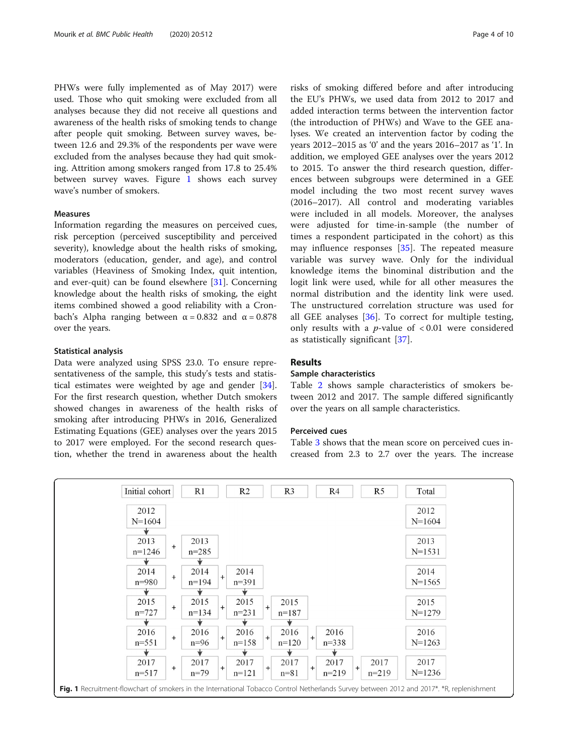PHWs were fully implemented as of May 2017) were used. Those who quit smoking were excluded from all analyses because they did not receive all questions and awareness of the health risks of smoking tends to change after people quit smoking. Between survey waves, between 12.6 and 29.3% of the respondents per wave were excluded from the analyses because they had quit smoking. Attrition among smokers ranged from 17.8 to 25.4% between survey waves. Figure 1 shows each survey wave's number of smokers.

## Measures

Information regarding the measures on perceived cues, risk perception (perceived susceptibility and perceived severity), knowledge about the health risks of smoking, moderators (education, gender, and age), and control variables (Heaviness of Smoking Index, quit intention, and ever-quit) can be found elsewhere [\[31\]](#page-9-0). Concerning knowledge about the health risks of smoking, the eight items combined showed a good reliability with a Cronbach's Alpha ranging between  $α = 0.832$  and  $α = 0.878$ over the years.

#### Statistical analysis

Data were analyzed using SPSS 23.0. To ensure representativeness of the sample, this study's tests and statistical estimates were weighted by age and gender [\[34](#page-9-0)]. For the first research question, whether Dutch smokers showed changes in awareness of the health risks of smoking after introducing PHWs in 2016, Generalized Estimating Equations (GEE) analyses over the years 2015 to 2017 were employed. For the second research question, whether the trend in awareness about the health

risks of smoking differed before and after introducing the EU's PHWs, we used data from 2012 to 2017 and added interaction terms between the intervention factor (the introduction of PHWs) and Wave to the GEE analyses. We created an intervention factor by coding the years 2012–2015 as '0' and the years 2016–2017 as '1'. In addition, we employed GEE analyses over the years 2012 to 2015. To answer the third research question, differences between subgroups were determined in a GEE model including the two most recent survey waves (2016–2017). All control and moderating variables were included in all models. Moreover, the analyses were adjusted for time-in-sample (the number of times a respondent participated in the cohort) as this may influence responses  $[35]$  $[35]$  $[35]$ . The repeated measure variable was survey wave. Only for the individual knowledge items the binominal distribution and the logit link were used, while for all other measures the normal distribution and the identity link were used. The unstructured correlation structure was used for all GEE analyses [\[36](#page-9-0)]. To correct for multiple testing, only results with a  $p$ -value of  $< 0.01$  were considered as statistically significant [[37\]](#page-9-0).

## Results

## Sample characteristics

Table [2](#page-5-0) shows sample characteristics of smokers between 2012 and 2017. The sample differed significantly over the years on all sample characteristics.

## Perceived cues

Table [3](#page-6-0) shows that the mean score on perceived cues increased from 2.3 to 2.7 over the years. The increase

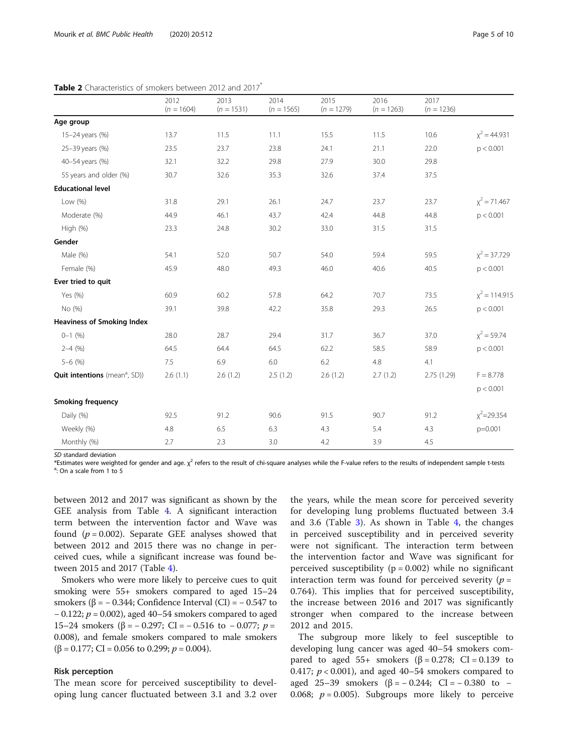|                                                  | 2012<br>$(n = 1604)$ | 2013<br>$(n = 1531)$ | 2014<br>$(n = 1565)$ | 2015<br>$(n = 1279)$ | 2016<br>$(n = 1263)$ | 2017<br>$(n = 1236)$ |                 |
|--------------------------------------------------|----------------------|----------------------|----------------------|----------------------|----------------------|----------------------|-----------------|
| Age group                                        |                      |                      |                      |                      |                      |                      |                 |
| 15-24 years (%)                                  | 13.7                 | 11.5                 | 11.1                 | 15.5                 | 11.5                 | 10.6                 | $x^2 = 44.931$  |
| 25-39 years (%)                                  | 23.5                 | 23.7                 | 23.8                 | 24.1                 | 21.1                 | 22.0                 | p < 0.001       |
| 40-54 years (%)                                  | 32.1                 | 32.2                 | 29.8                 | 27.9                 | 30.0                 | 29.8                 |                 |
| 55 years and older (%)                           | 30.7                 | 32.6                 | 35.3                 | 32.6                 | 37.4                 | 37.5                 |                 |
| <b>Educational level</b>                         |                      |                      |                      |                      |                      |                      |                 |
| Low (%)                                          | 31.8                 | 29.1                 | 26.1                 | 24.7                 | 23.7                 | 23.7                 | $x^2$ = 71.467  |
| Moderate (%)                                     | 44.9                 | 46.1                 | 43.7                 | 42.4                 | 44.8                 | 44.8                 | p < 0.001       |
| High (%)                                         | 23.3                 | 24.8                 | 30.2                 | 33.0                 | 31.5                 | 31.5                 |                 |
| Gender                                           |                      |                      |                      |                      |                      |                      |                 |
| Male (%)                                         | 54.1                 | 52.0                 | 50.7                 | 54.0                 | 59.4                 | 59.5                 | $x^2 = 37.729$  |
| Female (%)                                       | 45.9                 | 48.0                 | 49.3                 | 46.0                 | 40.6                 | 40.5                 | p < 0.001       |
| Ever tried to quit                               |                      |                      |                      |                      |                      |                      |                 |
| Yes (%)                                          | 60.9                 | 60.2                 | 57.8                 | 64.2                 | 70.7                 | 73.5                 | $x^2 = 114.915$ |
| No (%)                                           | 39.1                 | 39.8                 | 42.2                 | 35.8                 | 29.3                 | 26.5                 | p < 0.001       |
| <b>Heaviness of Smoking Index</b>                |                      |                      |                      |                      |                      |                      |                 |
| $0 - 1$ (%)                                      | 28.0                 | 28.7                 | 29.4                 | 31.7                 | 36.7                 | 37.0                 | $x^2 = 59.74$   |
| $2 - 4$ (%)                                      | 64.5                 | 64.4                 | 64.5                 | 62.2                 | 58.5                 | 58.9                 | p < 0.001       |
| $5 - 6$ (%)                                      | 7.5                  | 6.9                  | $6.0\,$              | 6.2                  | 4.8                  | 4.1                  |                 |
| <b>Quit intentions</b> (mean <sup>a</sup> , SD)) | 2.6(1.1)             | 2.6(1.2)             | 2.5(1.2)             | 2.6(1.2)             | 2.7(1.2)             | 2.75 (1.29)          | $F = 8.778$     |
|                                                  |                      |                      |                      |                      |                      |                      | p < 0.001       |
| <b>Smoking frequency</b>                         |                      |                      |                      |                      |                      |                      |                 |
| Daily (%)                                        | 92.5                 | 91.2                 | 90.6                 | 91.5                 | 90.7                 | 91.2                 | $x^2$ = 29.354  |
| Weekly (%)                                       | 4.8                  | 6.5                  | 6.3                  | 4.3                  | 5.4                  | 4.3                  | $p=0.001$       |
| Monthly (%)                                      | 2.7                  | 2.3                  | 3.0                  | 4.2                  | 3.9                  | 4.5                  |                 |

<span id="page-5-0"></span>Table 2 Characteristics of smokers between 2012 and 2017<sup>\*</sup>

SD standard deviation

\*Estimates were weighted for gender and age.  $\chi^2$  refers to the result of chi-square analyses while the F-value refers to the results of independent sample t-tests <sup>a</sup>: On a scale from 1 to 5

between 2012 and 2017 was significant as shown by the GEE analysis from Table [4.](#page-6-0) A significant interaction term between the intervention factor and Wave was found  $(p = 0.002)$ . Separate GEE analyses showed that between 2012 and 2015 there was no change in perceived cues, while a significant increase was found between 2015 and 2017 (Table [4](#page-6-0)).

Smokers who were more likely to perceive cues to quit smoking were 55+ smokers compared to aged 15–24 smokers ( $\beta$  = − 0.344; Confidence Interval (CI) = − 0.547 to − 0.122;  $p = 0.002$ ), aged 40–54 smokers compared to aged 15–24 smokers (β = - 0.297; CI = - 0.516 to - 0.077;  $p =$ 0.008), and female smokers compared to male smokers ( $\beta$  = 0.177; CI = 0.056 to 0.299;  $p$  = 0.004).

### Risk perception

The mean score for perceived susceptibility to developing lung cancer fluctuated between 3.1 and 3.2 over

the years, while the mean score for perceived severity for developing lung problems fluctuated between 3.4 and 3.6 (Table [3\)](#page-6-0). As shown in Table [4,](#page-6-0) the changes in perceived susceptibility and in perceived severity were not significant. The interaction term between the intervention factor and Wave was significant for perceived susceptibility ( $p = 0.002$ ) while no significant interaction term was found for perceived severity  $(p =$ 0.764). This implies that for perceived susceptibility, the increase between 2016 and 2017 was significantly stronger when compared to the increase between 2012 and 2015.

The subgroup more likely to feel susceptible to developing lung cancer was aged 40–54 smokers compared to aged 55+ smokers ( $β = 0.278$ ; CI = 0.139 to 0.417;  $p < 0.001$ ), and aged 40–54 smokers compared to aged 25–39 smokers (β =  $-0.244$ ; CI =  $-0.380$  to  $-$ 0.068;  $p = 0.005$ ). Subgroups more likely to perceive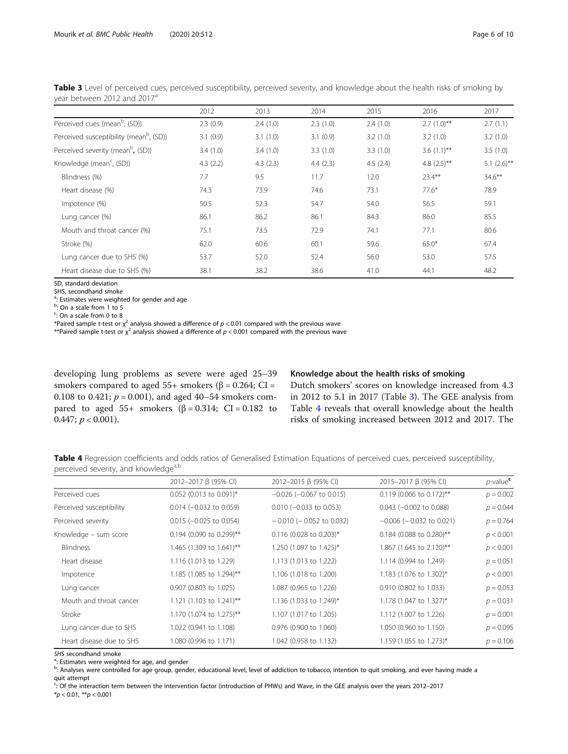|                                                     | 2012     | 2013     | 2014     | 2015     | 2016                      | 2017           |
|-----------------------------------------------------|----------|----------|----------|----------|---------------------------|----------------|
| Perceived cues (mean <sup>b</sup> , (SD))           | 2.3(0.9) | 2.4(1.0) | 2.3(1.0) | 2.4(1.0) | $2.7(1.0)$ **             | 2.7(1.1)       |
| Perceived susceptibility (mean <sup>b</sup> , (SD)) | 3.1(0.9) | 3.1(1.0) | 3.1(0.9) | 3.2(1.0) | 3.2(1.0)                  | 3.2(1.0)       |
| Perceived severity (mean <sup>b</sup> , (SD))       | 3.4(1.0) | 3.4(1.0) | 3.3(1.0) | 3.3(1.0) | $3.6(1.1)$ **             | 3.5(1.0)       |
| Knowledge (mean <sup>c</sup> , (SD))                | 4.3(2.2) | 4.3(2.3) | 4.4(2.3) | 4.5(2.4) | 4.8 $(2.5)$ <sup>**</sup> | 5.1 $(2.6)$ ** |
| Blindness (%)                                       | 7.7      | 9.5      | 11.7     | 12.0     | $23.4***$                 | $34.6***$      |
| Heart disease (%)                                   | 74.3     | 73.9     | 74.6     | 73.1     | $77.6*$                   | 78.9           |
| Impotence (%)                                       | 50.5     | 52.3     | 54.7     | 54.0     | 56.5                      | 59.1           |
| Lung cancer (%)                                     | 86.1     | 86.2     | 86.1     | 84.3     | 86.0                      | 85.5           |
| Mouth and throat cancer (%)                         | 75.1     | 73.5     | 72.9     | 74.1     | 77.1                      | 80.6           |
| Stroke (%)                                          | 62.0     | 60.6     | 60.1     | 59.6     | $65.0*$                   | 67.4           |
| Lung cancer due to SHS (%)                          | 53.7     | 52.0     | 52.4     | 56.0     | 53.0                      | 57.5           |
| Heart disease due to SHS (%)                        | 38.1     | 38.2     | 38.6     | 41.0     | 44.1                      | 48.2           |
|                                                     |          |          |          |          |                           |                |

<span id="page-6-0"></span>Table 3 Level of perceived cues, perceived susceptibility, perceived severity, and knowledge about the health risks of smoking by year between 2012 and 2017<sup>a</sup>

SD, standard deviation

SHS, secondhand smoke <sup>a</sup>: Estimates were weighted for gender and age

<sup>b</sup>: On a scale from 1 to 5

<sup>c</sup>: On a scale from 0 to 8

\*Paired sample t-test or  $\chi^2$  analysis showed a difference of  $p < 0.01$  compared with the previous wave

\*\*Paired sample t-test or  $\chi^2$  analysis showed a difference of  $p < 0.001$  compared with the previous wave

developing lung problems as severe were aged 25–39 smokers compared to aged  $55+$  smokers ( $\beta = 0.264$ ; CI = 0.108 to 0.421;  $p = 0.001$ ), and aged 40–54 smokers compared to aged 55+ smokers ( $β = 0.314$ ; CI = 0.182 to 0.447;  $p < 0.001$ ).

## Knowledge about the health risks of smoking

Dutch smokers' scores on knowledge increased from 4.3 in 2012 to 5.1 in 2017 (Table 3). The GEE analysis from Table 4 reveals that overall knowledge about the health risks of smoking increased between 2012 and 2017. The

Table 4 Regression coefficients and odds ratios of Generalised Estimation Equations of perceived cues, perceived susceptibility, perceived severity, and knowledge<sup>a,b</sup>

|                          | 2012-2017 β (95% CI)       | 2012-2015 β (95% CI)          | 2015-2017 β (95% CI)          | $p$ -value $c$ |
|--------------------------|----------------------------|-------------------------------|-------------------------------|----------------|
| Perceived cues           | $0.052$ (0.013 to 0.091)*  | $-0.026$ ( $-0.067$ to 0.015) | $0.119$ (0.066 to 0.172)**    | $p = 0.002$    |
| Perceived susceptibility | $0.014$ (-0.032 to 0.059)  | $0.010$ (-0.033 to 0.053)     | $0.043$ (-0.002 to 0.088)     | $p = 0.044$    |
| Perceived severity       | $0.015$ (-0.025 to 0.054)  | $-0.010$ ( $-0.052$ to 0.032) | $-0.006$ ( $-0.032$ to 0.021) | $p = 0.764$    |
| Knowledge - sum score    | $0.194$ (0.090 to 0.299)** | $0.116$ (0.028 to 0.203)*     | $0.184$ (0.088 to 0.280)**    | p < 0.001      |
| <b>Blindness</b>         | 1.465 (1.309 to 1.641)**   | 1.250 (1.097 to 1.425)*       | 1.867 (1.645 to 2.120)**      | p < 0.001      |
| Heart disease            | 1.116 (1.013 to 1.229)     | 1.113 (1.013 to 1.222)        | 1.114 (0.994 to 1.249)        | $p = 0.051$    |
| Impotence                | 1.185 (1.085 to 1.294)**   | 1.106 (1.018 to 1.200)        | 1.183 (1.076 to 1.302)*       | p < 0.001      |
| Lung cancer              | 0.907 (0.803 to 1.025)     | 1.087 (0.965 to 1.226)        | 0.910 (0.802 to 1.033)        | $p = 0.053$    |
| Mouth and throat cancer  | 1.121 (1.103 to 1.241)**   | 1.136 (1.033 to 1.249)*       | 1.178 (1.047 to 1.327)*       | $p = 0.031$    |
| Stroke                   | 1.170 (1.074 to 1.275)**   | 1.107 (1.017 to 1.205)        | 1.112 (1.007 to 1.226)        | $p = 0.001$    |
| Lung cancer due to SHS   | 1.022 (0.941 to 1.108)     | 0.976 (0.900 to 1.060)        | 1.050 (0.960 to 1.150)        | $p = 0.095$    |
| Heart disease due to SHS | 1.080 (0.996 to 1.171)     | 1.042 (0.958 to 1.132)        | 1.159 (1.055 to 1.273)*       | $p = 0.106$    |

SHS secondhand smoke

<sup>a</sup>: Estimates were weighted for age, and gender

b.<br>By Analyses were controlled for age group, gender, educational level, level of addiction to tobacco, intention to quit smoking, and ever having made a quit attempt

c : Of the interaction term between the intervention factor (introduction of PHWs) and Wave, in the GEE analysis over the years 2012–2017  $*p < 0.01, **p < 0.001$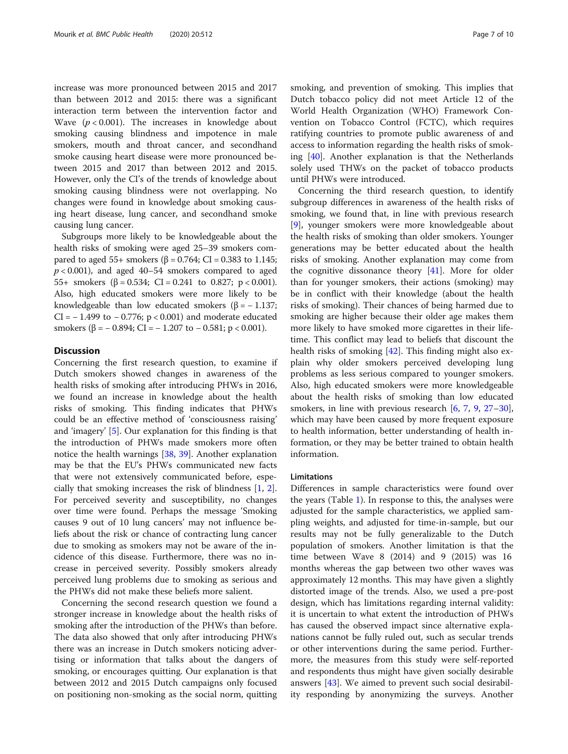increase was more pronounced between 2015 and 2017 than between 2012 and 2015: there was a significant interaction term between the intervention factor and Wave  $(p < 0.001)$ . The increases in knowledge about smoking causing blindness and impotence in male smokers, mouth and throat cancer, and secondhand smoke causing heart disease were more pronounced between 2015 and 2017 than between 2012 and 2015. However, only the CI's of the trends of knowledge about smoking causing blindness were not overlapping. No changes were found in knowledge about smoking causing heart disease, lung cancer, and secondhand smoke causing lung cancer.

Subgroups more likely to be knowledgeable about the health risks of smoking were aged 25–39 smokers compared to aged 55+ smokers (β = 0.764; CI = 0.383 to 1.145;  $p < 0.001$ ), and aged 40–54 smokers compared to aged 55+ smokers  $(\beta = 0.534; \text{ CI} = 0.241 \text{ to } 0.827; \text{ p} < 0.001).$ Also, high educated smokers were more likely to be knowledgeable than low educated smokers ( $\beta$  = -1.137; CI =  $-1.499$  to  $-0.776$ ; p < 0.001) and moderate educated smokers ( $\beta$  = -0.894; CI = -1.207 to -0.581; p < 0.001).

## **Discussion**

Concerning the first research question, to examine if Dutch smokers showed changes in awareness of the health risks of smoking after introducing PHWs in 2016, we found an increase in knowledge about the health risks of smoking. This finding indicates that PHWs could be an effective method of 'consciousness raising' and 'imagery' [\[5](#page-9-0)]. Our explanation for this finding is that the introduction of PHWs made smokers more often notice the health warnings [\[38](#page-9-0), [39](#page-9-0)]. Another explanation may be that the EU's PHWs communicated new facts that were not extensively communicated before, especially that smoking increases the risk of blindness [[1,](#page-9-0) [2](#page-9-0)]. For perceived severity and susceptibility, no changes over time were found. Perhaps the message 'Smoking causes 9 out of 10 lung cancers' may not influence beliefs about the risk or chance of contracting lung cancer due to smoking as smokers may not be aware of the incidence of this disease. Furthermore, there was no increase in perceived severity. Possibly smokers already perceived lung problems due to smoking as serious and the PHWs did not make these beliefs more salient.

Concerning the second research question we found a stronger increase in knowledge about the health risks of smoking after the introduction of the PHWs than before. The data also showed that only after introducing PHWs there was an increase in Dutch smokers noticing advertising or information that talks about the dangers of smoking, or encourages quitting. Our explanation is that between 2012 and 2015 Dutch campaigns only focused on positioning non-smoking as the social norm, quitting smoking, and prevention of smoking. This implies that Dutch tobacco policy did not meet Article 12 of the World Health Organization (WHO) Framework Convention on Tobacco Control (FCTC), which requires ratifying countries to promote public awareness of and access to information regarding the health risks of smoking [[40\]](#page-9-0). Another explanation is that the Netherlands solely used THWs on the packet of tobacco products until PHWs were introduced.

Concerning the third research question, to identify subgroup differences in awareness of the health risks of smoking, we found that, in line with previous research [[9\]](#page-9-0), younger smokers were more knowledgeable about the health risks of smoking than older smokers. Younger generations may be better educated about the health risks of smoking. Another explanation may come from the cognitive dissonance theory [\[41](#page-9-0)]. More for older than for younger smokers, their actions (smoking) may be in conflict with their knowledge (about the health risks of smoking). Their chances of being harmed due to smoking are higher because their older age makes them more likely to have smoked more cigarettes in their lifetime. This conflict may lead to beliefs that discount the health risks of smoking [[42](#page-10-0)]. This finding might also explain why older smokers perceived developing lung problems as less serious compared to younger smokers. Also, high educated smokers were more knowledgeable about the health risks of smoking than low educated smokers, in line with previous research [\[6](#page-9-0), [7](#page-9-0), [9,](#page-9-0) [27](#page-9-0)–[30](#page-9-0)], which may have been caused by more frequent exposure to health information, better understanding of health information, or they may be better trained to obtain health information.

#### Limitations

Differences in sample characteristics were found over the years (Table [1](#page-3-0)). In response to this, the analyses were adjusted for the sample characteristics, we applied sampling weights, and adjusted for time-in-sample, but our results may not be fully generalizable to the Dutch population of smokers. Another limitation is that the time between Wave 8 (2014) and 9 (2015) was 16 months whereas the gap between two other waves was approximately 12 months. This may have given a slightly distorted image of the trends. Also, we used a pre-post design, which has limitations regarding internal validity: it is uncertain to what extent the introduction of PHWs has caused the observed impact since alternative explanations cannot be fully ruled out, such as secular trends or other interventions during the same period. Furthermore, the measures from this study were self-reported and respondents thus might have given socially desirable answers [\[43](#page-10-0)]. We aimed to prevent such social desirability responding by anonymizing the surveys. Another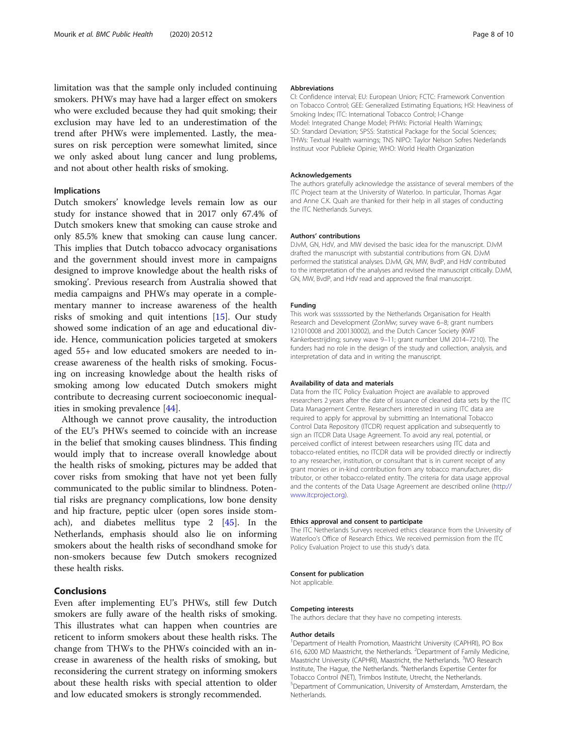limitation was that the sample only included continuing smokers. PHWs may have had a larger effect on smokers who were excluded because they had quit smoking; their exclusion may have led to an underestimation of the trend after PHWs were implemented. Lastly, the measures on risk perception were somewhat limited, since we only asked about lung cancer and lung problems, and not about other health risks of smoking.

## Implications

Dutch smokers' knowledge levels remain low as our study for instance showed that in 2017 only 67.4% of Dutch smokers knew that smoking can cause stroke and only 85.5% knew that smoking can cause lung cancer. This implies that Dutch tobacco advocacy organisations and the government should invest more in campaigns designed to improve knowledge about the health risks of smoking'. Previous research from Australia showed that media campaigns and PHWs may operate in a complementary manner to increase awareness of the health risks of smoking and quit intentions [\[15\]](#page-9-0). Our study showed some indication of an age and educational divide. Hence, communication policies targeted at smokers aged 55+ and low educated smokers are needed to increase awareness of the health risks of smoking. Focusing on increasing knowledge about the health risks of smoking among low educated Dutch smokers might contribute to decreasing current socioeconomic inequalities in smoking prevalence [\[44\]](#page-10-0).

Although we cannot prove causality, the introduction of the EU's PHWs seemed to coincide with an increase in the belief that smoking causes blindness. This finding would imply that to increase overall knowledge about the health risks of smoking, pictures may be added that cover risks from smoking that have not yet been fully communicated to the public similar to blindness. Potential risks are pregnancy complications, low bone density and hip fracture, peptic ulcer (open sores inside stomach), and diabetes mellitus type 2 [[45\]](#page-10-0). In the Netherlands, emphasis should also lie on informing smokers about the health risks of secondhand smoke for non-smokers because few Dutch smokers recognized these health risks.

## Conclusions

Even after implementing EU's PHWs, still few Dutch smokers are fully aware of the health risks of smoking. This illustrates what can happen when countries are reticent to inform smokers about these health risks. The change from THWs to the PHWs coincided with an increase in awareness of the health risks of smoking, but reconsidering the current strategy on informing smokers about these health risks with special attention to older and low educated smokers is strongly recommended.

#### Abbreviations

CI: Confidence interval; EU: European Union; FCTC: Framework Convention on Tobacco Control; GEE: Generalized Estimating Equations; HSI: Heaviness of Smoking Index; ITC: International Tobacco Control; I-Change Model: Integrated Change Model; PHWs: Pictorial Health Warnings; SD: Standard Deviation; SPSS: Statistical Package for the Social Sciences; THWs: Textual Health warnings; TNS NIPO: Taylor Nelson Sofres Nederlands Instituut voor Publieke Opinie; WHO: World Health Organization

#### Acknowledgements

The authors gratefully acknowledge the assistance of several members of the ITC Project team at the University of Waterloo. In particular, Thomas Agar and Anne C.K. Quah are thanked for their help in all stages of conducting the ITC Netherlands Surveys.

#### Authors' contributions

DJvM, GN, HdV, and MW devised the basic idea for the manuscript. DJvM drafted the manuscript with substantial contributions from GN. DJvM performed the statistical analyses. DJvM, GN, MW, BvdP, and HdV contributed to the interpretation of the analyses and revised the manuscript critically. DJvM, GN, MW, BvdP, and HdV read and approved the final manuscript.

#### Funding

This work was ssssssorted by the Netherlands Organisation for Health Research and Development (ZonMw; survey wave 6–8; grant numbers 121010008 and 200130002), and the Dutch Cancer Society (KWF Kankerbestrijding; survey wave 9–11; grant number UM 2014–7210). The funders had no role in the design of the study and collection, analysis, and interpretation of data and in writing the manuscript.

#### Availability of data and materials

Data from the ITC Policy Evaluation Project are available to approved researchers 2 years after the date of issuance of cleaned data sets by the ITC Data Management Centre. Researchers interested in using ITC data are required to apply for approval by submitting an International Tobacco Control Data Repository (ITCDR) request application and subsequently to sign an ITCDR Data Usage Agreement. To avoid any real, potential, or perceived conflict of interest between researchers using ITC data and tobacco-related entities, no ITCDR data will be provided directly or indirectly to any researcher, institution, or consultant that is in current receipt of any grant monies or in-kind contribution from any tobacco manufacturer, distributor, or other tobacco-related entity. The criteria for data usage approval and the contents of the Data Usage Agreement are described online ([http://](http://www.itcproject.org) [www.itcproject.org\)](http://www.itcproject.org).

#### Ethics approval and consent to participate

The ITC Netherlands Surveys received ethics clearance from the University of Waterloo's Office of Research Ethics. We received permission from the ITC Policy Evaluation Project to use this study's data.

#### Consent for publication

Not applicable.

#### Competing interests

The authors declare that they have no competing interests.

#### Author details

<sup>1</sup>Department of Health Promotion, Maastricht University (CAPHRI), PO Box 616, 6200 MD Maastricht, the Netherlands. <sup>2</sup>Department of Family Medicine, Maastricht University (CAPHRI), Maastricht, the Netherlands. <sup>3</sup>IVO Research Institute, The Hague, the Netherlands. <sup>4</sup>Netherlands Expertise Center for Tobacco Control (NET), Trimbos Institute, Utrecht, the Netherlands. 5 Department of Communication, University of Amsterdam, Amsterdam, the Netherlands.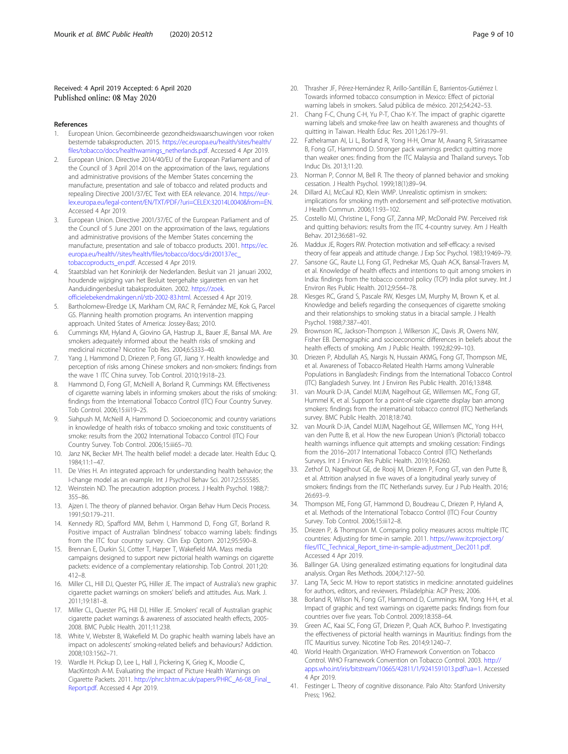### <span id="page-9-0"></span>Received: 4 April 2019 Accepted: 6 April 2020 Published online: 08 May 2020

#### References

- 1. European Union. Gecombineerde gezondheidswaarschuwingen voor roken bestemde tabaksproducten. 2015. [https://ec.europa.eu/health/sites/health/](https://ec.europa.eu/health//sites/health/files/tobacco/docs/dir200137ec_tobaccoproducts_en.pdf) [files/tobacco/docs/healthwarnings\\_netherlands.pdf.](https://ec.europa.eu/health//sites/health/files/tobacco/docs/dir200137ec_tobaccoproducts_en.pdf) Accessed 4 Apr 2019.
- European Union. Directive 2014/40/EU of the European Parliament and of the Council of 3 April 2014 on the approximation of the laws, regulations and administrative provisions of the Member States concerning the manufacture, presentation and sale of tobacco and related products and repealing Directive 2001/37/EC Text with EEA relevance. 2014. [https://eur](https://eur-lex.europa.eu/legal-content/EN/TXT/PDF/?uri=CELEX:32014L0040&from=EN)[lex.europa.eu/legal-content/EN/TXT/PDF/?uri=CELEX:32014L0040&from=EN.](https://eur-lex.europa.eu/legal-content/EN/TXT/PDF/?uri=CELEX:32014L0040&from=EN) Accessed 4 Apr 2019.
- 3. European Union. Directive 2001/37/EC of the European Parliament and of the Council of 5 June 2001 on the approximation of the laws, regulations and administrative provisions of the Member States concerning the manufacture, presentation and sale of tobacco products. 2001. [https://ec.](https://ec.europa.eu/health//sites/health/files/tobacco/docs/dir200137ec_tobaccoproducts_en.pdf) [europa.eu/health//sites/health/files/tobacco/docs/dir200137ec\\_](https://ec.europa.eu/health//sites/health/files/tobacco/docs/dir200137ec_tobaccoproducts_en.pdf) [tobaccoproducts\\_en.pdf](https://ec.europa.eu/health//sites/health/files/tobacco/docs/dir200137ec_tobaccoproducts_en.pdf). Accessed 4 Apr 2019.
- 4. Staatsblad van het Koninkrijk der Nederlanden. Besluit van 21 januari 2002, houdende wijziging van het Besluit teergehalte sigaretten en van het Aanduidingenbesluit tabaksprodukten. 2002. [https://zoek.](https://zoek.officielebekendmakingen.nl/stb-2002-83.html) [officielebekendmakingen.nl/stb-2002-83.html.](https://zoek.officielebekendmakingen.nl/stb-2002-83.html) Accessed 4 Apr 2019.
- 5. Bartholomew-Elredge LK, Markham CM, RAC R, Fernández ME, Kok G, Parcel GS. Planning health promotion programs. An intervention mapping approach. United States of America: Jossey-Bass; 2010.
- 6. Cummings KM, Hyland A, Giovino GA, Hastrup JL, Bauer JE, Bansal MA. Are smokers adequately informed about the health risks of smoking and medicinal nicotine? Nicotine Tob Res. 2004;6:S333–40.
- 7. Yang J, Hammond D, Driezen P, Fong GT, Jiang Y. Health knowledge and perception of risks among Chinese smokers and non-smokers: findings from the wave 1 ITC China survey. Tob Control. 2010;19:i18–23.
- 8. Hammond D, Fong GT, McNeill A, Borland R, Cummings KM. Effectiveness of cigarette warning labels in informing smokers about the risks of smoking: findings from the International Tobacco Control (ITC) Four Country Survey. Tob Control. 2006;15:iii19–25.
- Siahpush M, McNeill A, Hammond D. Socioeconomic and country variations in knowledge of health risks of tobacco smoking and toxic constituents of smoke: results from the 2002 International Tobacco Control (ITC) Four Country Survey. Tob Control. 2006;15:iii65–70.
- 10. Janz NK, Becker MH. The health belief model: a decade later. Health Educ Q. 1984;11:1–47.
- 11. De Vries H. An integrated approach for understanding health behavior; the I-change model as an example. Int J Psychol Behav Sci. 2017;2:555585.
- 12. Weinstein ND. The precaution adoption process. J Health Psychol. 1988;7: 355–86.
- 13. Ajzen I. The theory of planned behavior. Organ Behav Hum Decis Process. 1991;50:179–211.
- 14. Kennedy RD, Spafford MM, Behm I, Hammond D, Fong GT, Borland R. Positive impact of Australian 'blindness' tobacco warning labels: findings from the ITC four country survey. Clin Exp Optom. 2012;95:590–8.
- 15. Brennan E, Durkin SJ, Cotter T, Harper T, Wakefield MA. Mass media campaigns designed to support new pictorial health warnings on cigarette packets: evidence of a complementary relationship. Tob Control. 2011;20: 412–8.
- 16. Miller CL, Hill DJ, Quester PG, Hiller JE. The impact of Australia's new graphic cigarette packet warnings on smokers' beliefs and attitudes. Aus. Mark. J. 2011;19:181–8.
- 17. Miller CL, Quester PG, Hill DJ, Hiller JE. Smokers' recall of Australian graphic cigarette packet warnings & awareness of associated health effects, 2005- 2008. BMC Public Health. 2011;11:238.
- 18. White V, Webster B, Wakefield M. Do graphic health warning labels have an impact on adolescents' smoking-related beliefs and behaviours? Addiction. 2008;103:1562–71.
- 19. Wardle H. Pickup D, Lee L, Hall J, Pickering K, Grieg K., Moodie C, MacKintosh A-M. Evaluating the impact of Picture Health Warnings on Cigarette Packets. 2011. [http://phrc.lshtm.ac.uk/papers/PHRC\\_A6-08\\_Final\\_](http://phrc.lshtm.ac.uk/papers/PHRC_A6-08_Final_Report.pdf) [Report.pdf](http://phrc.lshtm.ac.uk/papers/PHRC_A6-08_Final_Report.pdf). Accessed 4 Apr 2019.
- 20. Thrasher JF, Pérez-Hernández R, Arillo-Santillán E, Barrientos-Gutiérrez I. Towards informed tobacco consumption in Mexico: Effect of pictorial warning labels in smokers. Salud pública de méxico. 2012;54:242–53.
- 21. Chang F-C, Chung C-H, Yu P-T, Chao K-Y. The impact of graphic cigarette warning labels and smoke-free law on health awareness and thoughts of quitting in Taiwan. Health Educ Res. 2011;26:179–91.
- 22. Fathelraman AI, Li L, Borland R, Yong H-H, Omar M, Awang R, Sirirassamee B, Fong GT, Hammond D. Stronger pack warnings predict quitting more than weaker ones: finding from the ITC Malaysia and Thailand surveys. Tob Induc Dis. 2013;11:20.
- 23. Norman P, Connor M, Bell R. The theory of planned behavior and smoking cessation. J Health Psychol. 1999;18(1):89–94.
- 24. Dillard AJ, McCaul KD, Klein WMP. Unrealistic optimism in smokers: implications for smoking myth endorsement and self-protective motivation. J Health Commun. 2006;11:93–102.
- 25. Costello MJ, Christine L, Fong GT, Zanna MP, McDonald PW. Perceived risk and quitting behaviors: results from the ITC 4-country survey. Am J Health Behav. 2012;36:681–92.
- 26. Maddux JE, Rogers RW. Protection motivation and self-efficacy: a revised theory of fear appeals and attitude change. J Exp Soc Psychol. 1983;19:469–79.
- 27. Sansone GC, Raute LJ, Fong GT, Pednekar MS, Quah ACK, Bansal-Travers M, et al. Knowledge of health effects and intentions to quit among smokers in India: findings from the tobacco control policy (TCP) India pilot survey. Int J Environ Res Public Health. 2012;9:564–78.
- Klesges RC, Grand S, Pascale RW, Klesges LM, Murphy M, Brown K, et al. Knowledge and beliefs regarding the consequences of cigarette smoking and their relationships to smoking status in a biracial sample. J Health Psychol. 1988;7:387–401.
- 29. Brownson RC, Jackson-Thompson J, Wilkerson JC, Davis JR, Owens NW, Fisher EB. Demographic and socioeconomic differences in beliefs about the health effects of smoking. Am J Public Health. 1992;82:99–103.
- 30. Driezen P, Abdullah AS, Nargis N, Hussain AKMG, Fong GT, Thompson ME, et al. Awareness of Tobacco-Related Health Harms among Vulnerable Populations in Bangladesh: Findings from the International Tobacco Control (ITC) Bangladesh Survey. Int J Environ Res Public Health. 2016;13:848.
- 31. van Mourik D-JA, Candel MJJM, Nagelhout GE, Willemsen MC, Fong GT, Hummel K, et al. Support for a point-of-sale cigarette display ban among smokers: findings from the international tobacco control (ITC) Netherlands survey. BMC Public Health. 2018;18:740.
- 32. van Mourik D-JA, Candel MJJM, Nagelhout GE, Willemsen MC, Yong H-H, van den Putte B, et al. How the new European Union's (Pictorial) tobacco health warnings influence quit attempts and smoking cessation: Findings from the 2016–2017 International Tobacco Control (ITC) Netherlands Surveys. Int J Environ Res Public Health. 2019;16:4260.
- 33. Zethof D, Nagelhout GE, de Rooij M, Driezen P, Fong GT, van den Putte B, et al. Attrition analysed in five waves of a longitudinal yearly survey of smokers: findings from the ITC Netherlands survey. Eur J Pub Health. 2016; 26:693–9.
- 34. Thompson ME, Fong GT, Hammond D, Boudreau C, Driezen P, Hyland A, et al. Methods of the International Tobacco Control (ITC) Four Country Survey. Tob Control. 2006;15:iii12–8.
- 35. Driezen P, & Thompson M. Comparing policy measures across multiple ITC countries: Adjusting for time-in sample. 2011. [https://www.itcproject.org/](https://www.itcproject.org/files/ITC_Technical_Report_time-in-sample-adjustment_Dec2011.pdf) [files/ITC\\_Technical\\_Report\\_time-in-sample-adjustment\\_Dec2011.pdf.](https://www.itcproject.org/files/ITC_Technical_Report_time-in-sample-adjustment_Dec2011.pdf) Accessed 4 Apr 2019.
- 36. Ballinger GA. Using generalized estimating equations for longitudinal data analysis. Organ Res Methods. 2004;7:127–50.
- 37. Lang TA, Secic M. How to report statistics in medicine: annotated guidelines for authors, editors, and reviewers. Philadelphia: ACP Press; 2006.
- 38. Borland R, Wilson N, Fong GT, Hammond D, Cummings KM, Yong H-H, et al. Impact of graphic and text warnings on cigarette packs: findings from four countries over five years. Tob Control. 2009;18:358–64.
- 39. Green AC, Kaai SC, Fong GT, Driezen P, Quah ACK, Burhoo P. Investigating the effectiveness of pictorial health warnings in Mauritius: findings from the ITC Mauritius survey. Nicotine Tob Res. 2014;9:1240–7.
- 40. World Health Organization. WHO Framework Convention on Tobacco Control. WHO Framework Convention on Tobacco Control. 2003. [http://](http://apps.who.int/iris/bitstream/10665/42811/1/9241591013.pdf?ua=1) [apps.who.int/iris/bitstream/10665/42811/1/9241591013.pdf?ua=1](http://apps.who.int/iris/bitstream/10665/42811/1/9241591013.pdf?ua=1). Accessed 4 Apr 2019.
- 41. Festinger L. Theory of cognitive dissonance. Palo Alto: Stanford University Press; 1962.